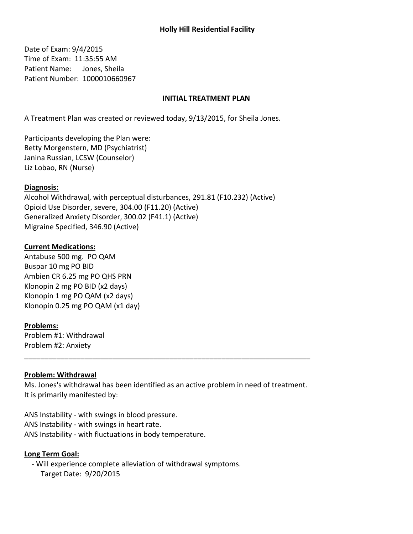# **Holly Hill Residential Facility**

Date of Exam: 9/4/2015 Time of Exam: 11:35:55 AM Patient Name: Jones, Sheila Patient Number: 1000010660967

### **INITIAL TREATMENT PLAN**

A Treatment Plan was created or reviewed today, 9/13/2015, for Sheila Jones.

Participants developing the Plan were: Betty Morgenstern, MD (Psychiatrist) Janina Russian, LCSW (Counselor) Liz Lobao, RN (Nurse)

#### Diagnosis:

Alcohol Withdrawal, with perceptual disturbances, 291.81 (F10.232) (Active) Opioid Use Disorder, severe, 304.00 (F11.20) (Active) Generalized Anxiety Disorder, 300.02 (F41.1) (Active) Migraine Specified, 346.90 (Active)

### **Current Medications:**

Antabuse 500 mg. PO QAM Buspar 10 mg PO BID Ambien CR 6.25 mg PO QHS PRN Klonopin 2 mg PO BID (x2 days) Klonopin 1 mg PO QAM (x2 days) Klonopin 0.25 mg PO QAM (x1 day)

#### **Problems:**

Problem #1: Withdrawal Problem #2: Anxiety

### **Problem: Withdrawal**

Ms. Jones's withdrawal has been identified as an active problem in need of treatment. It is primarily manifested by:

ANS Instability - with swings in blood pressure. ANS Instability - with swings in heart rate. ANS Instability - with fluctuations in body temperature.

#### Long Term Goal:

- Will experience complete alleviation of withdrawal symptoms. Target Date: 9/20/2015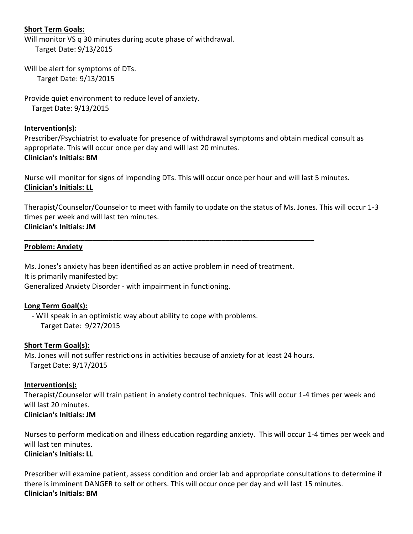# **Short Term Goals:**

Will monitor VS q 30 minutes during acute phase of withdrawal. Target Date: 9/13/2015

Will be alert for symptoms of DTs. Target Date: 9/13/2015

Provide quiet environment to reduce level of anxiety. Target Date: 9/13/2015

### Intervention(s):

Prescriber/Psychiatrist to evaluate for presence of withdrawal symptoms and obtain medical consult as appropriate. This will occur once per day and will last 20 minutes. **Clinician's Initials: BM** 

Nurse will monitor for signs of impending DTs. This will occur once per hour and will last 5 minutes. **Clinician's Initials: LL** 

Therapist/Counselor/Counselor to meet with family to update on the status of Ms. Jones. This will occur 1-3 times per week and will last ten minutes. **Clinician's Initials: JM** 

### **Problem: Anxiety**

Ms. Jones's anxiety has been identified as an active problem in need of treatment. It is primarily manifested by: Generalized Anxiety Disorder - with impairment in functioning.

## Long Term Goal(s):

- Will speak in an optimistic way about ability to cope with problems. Target Date: 9/27/2015

#### **Short Term Goal(s):**

Ms. Jones will not suffer restrictions in activities because of anxiety for at least 24 hours. Target Date: 9/17/2015

### Intervention(s):

Therapist/Counselor will train patient in anxiety control techniques. This will occur 1-4 times per week and will last 20 minutes. **Clinician's Initials: JM** 

Nurses to perform medication and illness education regarding anxiety. This will occur 1-4 times per week and will last ten minutes. **Clinician's Initials: LL** 

Prescriber will examine patient, assess condition and order lab and appropriate consultations to determine if there is imminent DANGER to self or others. This will occur once per day and will last 15 minutes. **Clinician's Initials: BM**